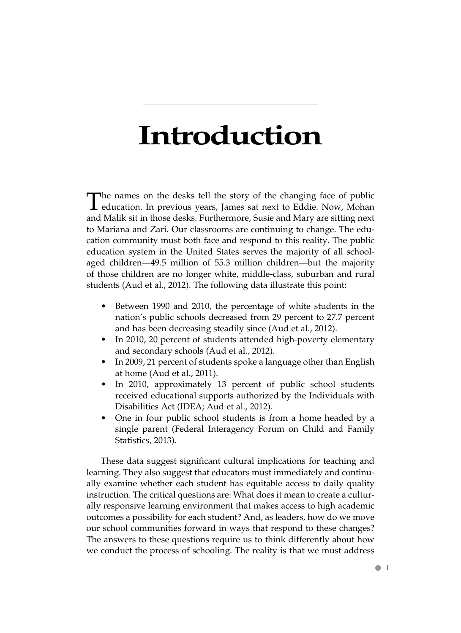# **Introduction**

The names on the desks tell the story of the changing face of public education. In previous years, James sat next to Eddie. Now, Mohan and Malik sit in those desks. Furthermore, Susie and Mary are sitting next to Mariana and Zari. Our classrooms are continuing to change. The education community must both face and respond to this reality. The public education system in the United States serves the majority of all schoolaged children—49.5 million of 55.3 million children—but the majority of those children are no longer white, middle-class, suburban and rural students (Aud et al., 2012). The following data illustrate this point:

- Between 1990 and 2010, the percentage of white students in the nation's public schools decreased from 29 percent to 27.7 percent and has been decreasing steadily since (Aud et al., 2012).
- In 2010, 20 percent of students attended high-poverty elementary and secondary schools (Aud et al., 2012).
- In 2009, 21 percent of students spoke a language other than English at home (Aud et al., 2011).
- In 2010, approximately 13 percent of public school students received educational supports authorized by the Individuals with Disabilities Act (IDEA; Aud et al., 2012).
- One in four public school students is from a home headed by a single parent (Federal Interagency Forum on Child and Family Statistics, 2013).

 These data suggest significant cultural implications for teaching and learning. They also suggest that educators must immediately and continually examine whether each student has equitable access to daily quality instruction. The critical questions are: What does it mean to create a culturally responsive learning environment that makes access to high academic outcomes a possibility for each student? And, as leaders, how do we move our school communities forward in ways that respond to these changes? The answers to these questions require us to think differently about how we conduct the process of schooling. The reality is that we must address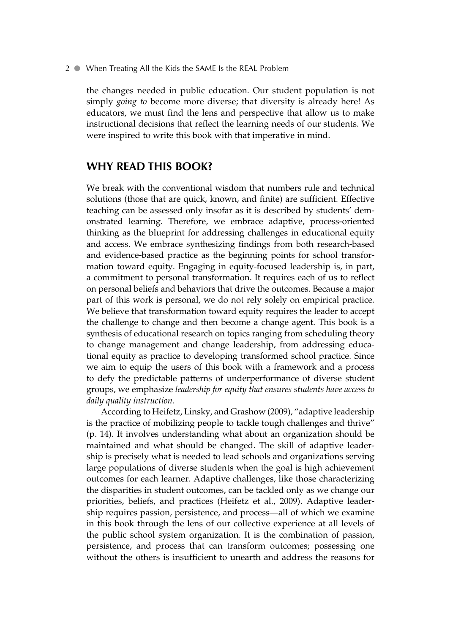the changes needed in public education. Our student population is not simply *going to* become more diverse; that diversity is already here! As educators, we must find the lens and perspective that allow us to make instructional decisions that reflect the learning needs of our students. We were inspired to write this book with that imperative in mind.

#### **WHY READ THIS BOOK?**

 We break with the conventional wisdom that numbers rule and technical solutions (those that are quick, known, and finite) are sufficient. Effective teaching can be assessed only insofar as it is described by students' demonstrated learning. Therefore, we embrace adaptive, process-oriented thinking as the blueprint for addressing challenges in educational equity and access. We embrace synthesizing findings from both research-based and evidence-based practice as the beginning points for school transformation toward equity. Engaging in equity-focused leadership is, in part, a commitment to personal transformation. It requires each of us to reflect on personal beliefs and behaviors that drive the outcomes. Because a major part of this work is personal, we do not rely solely on empirical practice. We believe that transformation toward equity requires the leader to accept the challenge to change and then become a change agent. This book is a synthesis of educational research on topics ranging from scheduling theory to change management and change leadership, from addressing educational equity as practice to developing transformed school practice. Since we aim to equip the users of this book with a framework and a process to defy the predictable patterns of underperformance of diverse student groups, we emphasize *leadership for equity that ensures students have access to daily quality instruction.*

 According to Heifetz, Linsky, and Grashow (2009), "adaptive leadership is the practice of mobilizing people to tackle tough challenges and thrive" (p. 14). It involves understanding what about an organization should be maintained and what should be changed. The skill of adaptive leadership is precisely what is needed to lead schools and organizations serving large populations of diverse students when the goal is high achievement outcomes for each learner. Adaptive challenges, like those characterizing the disparities in student outcomes, can be tackled only as we change our priorities, beliefs, and practices (Heifetz et al., 2009). Adaptive leadership requires passion, persistence, and process—all of which we examine in this book through the lens of our collective experience at all levels of the public school system organization. It is the combination of passion, persistence, and process that can transform outcomes; possessing one without the others is insufficient to unearth and address the reasons for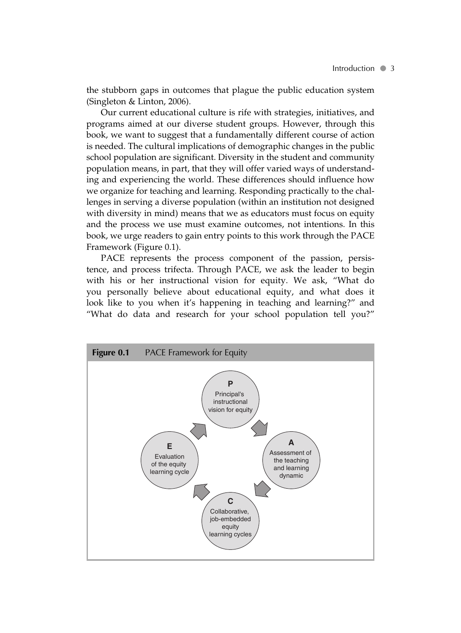the stubborn gaps in outcomes that plague the public education system (Singleton & Linton, 2006).

 Our current educational culture is rife with strategies, initiatives, and programs aimed at our diverse student groups. However, through this book, we want to suggest that a fundamentally different course of action is needed. The cultural implications of demographic changes in the public school population are significant. Diversity in the student and community population means, in part, that they will offer varied ways of understanding and experiencing the world. These differences should influence how we organize for teaching and learning. Responding practically to the challenges in serving a diverse population (within an institution not designed with diversity in mind) means that we as educators must focus on equity and the process we use must examine outcomes, not intentions. In this book, we urge readers to gain entry points to this work through the PACE Framework (Figure 0.1).

PACE represents the process component of the passion, persistence, and process trifecta. Through PACE, we ask the leader to begin with his or her instructional vision for equity. We ask, "What do you personally believe about educational equity, and what does it look like to you when it's happening in teaching and learning?" and "What do data and research for your school population tell you?"

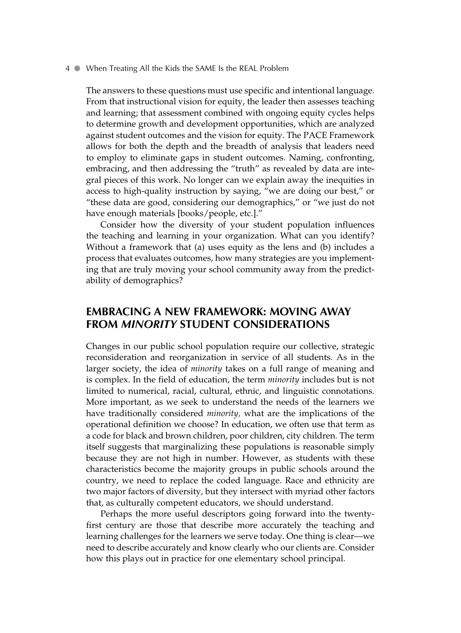The answers to these questions must use specific and intentional language. From that instructional vision for equity, the leader then assesses teaching and learning; that assessment combined with ongoing equity cycles helps to determine growth and development opportunities, which are analyzed against student outcomes and the vision for equity. The PACE Framework allows for both the depth and the breadth of analysis that leaders need to employ to eliminate gaps in student outcomes. Naming, confronting, embracing, and then addressing the "truth" as revealed by data are integral pieces of this work. No longer can we explain away the inequities in access to high-quality instruction by saying, "we are doing our best," or "these data are good, considering our demographics," or "we just do not have enough materials [books/people, etc.]."

 Consider how the diversity of your student population influences the teaching and learning in your organization. What can you identify? Without a framework that (a) uses equity as the lens and (b) includes a process that evaluates outcomes, how many strategies are you implementing that are truly moving your school community away from the predictability of demographics?

### **EMBRACING A NEW FRAMEWORK: MOVING AWAY FROM** *MINORITY* **STUDENT CONSIDERATIONS**

 Changes in our public school population require our collective, strategic reconsideration and reorganization in service of all students. As in the larger society, the idea of *minority* takes on a full range of meaning and is complex. In the field of education, the term *minority* includes but is not limited to numerical, racial, cultural, ethnic, and linguistic connotations. More important, as we seek to understand the needs of the learners we have traditionally considered *minority,* what are the implications of the operational definition we choose? In education, we often use that term as a code for black and brown children, poor children, city children. The term itself suggests that marginalizing these populations is reasonable simply because they are not high in number. However, as students with these characteristics become the majority groups in public schools around the country, we need to replace the coded language. Race and ethnicity are two major factors of diversity, but they intersect with myriad other factors that, as culturally competent educators, we should understand.

 Perhaps the more useful descriptors going forward into the twentyfirst century are those that describe more accurately the teaching and learning challenges for the learners we serve today. One thing is clear—we need to describe accurately and know clearly who our clients are. Consider how this plays out in practice for one elementary school principal.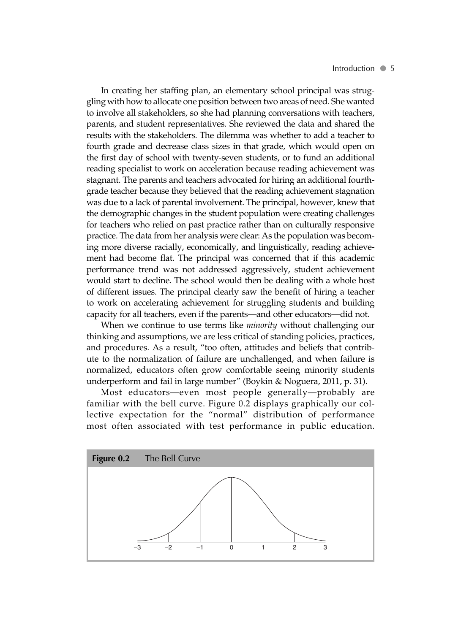In creating her staffing plan, an elementary school principal was struggling with how to allocate one position between two areas of need. She wanted to involve all stakeholders, so she had planning conversations with teachers, parents, and student representatives. She reviewed the data and shared the results with the stakeholders. The dilemma was whether to add a teacher to fourth grade and decrease class sizes in that grade, which would open on the first day of school with twenty-seven students, or to fund an additional reading specialist to work on acceleration because reading achievement was stagnant. The parents and teachers advocated for hiring an additional fourthgrade teacher because they believed that the reading achievement stagnation was due to a lack of parental involvement. The principal, however, knew that the demographic changes in the student population were creating challenges for teachers who relied on past practice rather than on culturally responsive practice. The data from her analysis were clear: As the population was becoming more diverse racially, economically, and linguistically, reading achievement had become flat. The principal was concerned that if this academic performance trend was not addressed aggressively, student achievement would start to decline. The school would then be dealing with a whole host of different issues. The principal clearly saw the benefit of hiring a teacher to work on accelerating achievement for struggling students and building capacity for all teachers, even if the parents—and other educators—did not.

 When we continue to use terms like *minority* without challenging our thinking and assumptions, we are less critical of standing policies, practices, and procedures. As a result, "too often, attitudes and beliefs that contribute to the normalization of failure are unchallenged, and when failure is normalized, educators often grow comfortable seeing minority students underperform and fail in large number" (Boykin & Noguera, 2011, p. 31).

 Most educators—even most people generally—probably are familiar with the bell curve. Figure 0.2 displays graphically our collective expectation for the "normal" distribution of performance most often associated with test performance in public education.

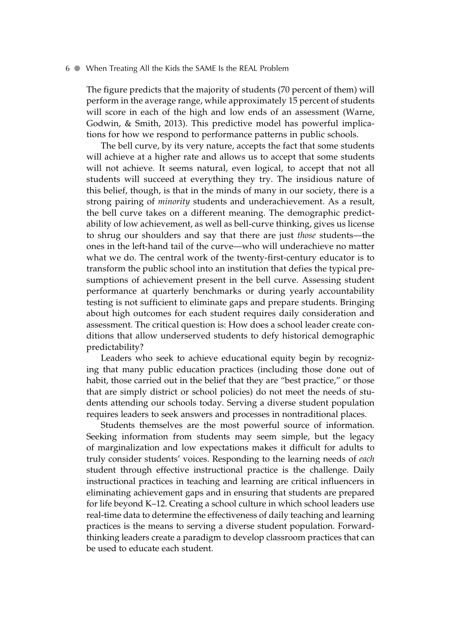The figure predicts that the majority of students (70 percent of them) will perform in the average range, while approximately 15 percent of students will score in each of the high and low ends of an assessment (Warne, Godwin, & Smith, 2013). This predictive model has powerful implications for how we respond to performance patterns in public schools.

 The bell curve, by its very nature, accepts the fact that some students will achieve at a higher rate and allows us to accept that some students will not achieve. It seems natural, even logical, to accept that not all students will succeed at everything they try. The insidious nature of this belief, though, is that in the minds of many in our society, there is a strong pairing of *minority* students and underachievement. As a result, the bell curve takes on a different meaning. The demographic predictability of low achievement, as well as bell-curve thinking, gives us license to shrug our shoulders and say that there are just *those* students—the ones in the left-hand tail of the curve—who will underachieve no matter what we do. The central work of the twenty-first-century educator is to transform the public school into an institution that defies the typical presumptions of achievement present in the bell curve. Assessing student performance at quarterly benchmarks or during yearly accountability testing is not sufficient to eliminate gaps and prepare students. Bringing about high outcomes for each student requires daily consideration and assessment. The critical question is: How does a school leader create conditions that allow underserved students to defy historical demographic predictability?

 Leaders who seek to achieve educational equity begin by recognizing that many public education practices (including those done out of habit, those carried out in the belief that they are "best practice," or those that are simply district or school policies) do not meet the needs of students attending our schools today. Serving a diverse student population requires leaders to seek answers and processes in nontraditional places.

 Students themselves are the most powerful source of information. Seeking information from students may seem simple, but the legacy of marginalization and low expectations makes it difficult for adults to truly consider students' voices. Responding to the learning needs of *each* student through effective instructional practice is the challenge. Daily instructional practices in teaching and learning are critical influencers in eliminating achievement gaps and in ensuring that students are prepared for life beyond K–12. Creating a school culture in which school leaders use real-time data to determine the effectiveness of daily teaching and learning practices is the means to serving a diverse student population. Forwardthinking leaders create a paradigm to develop classroom practices that can be used to educate each student.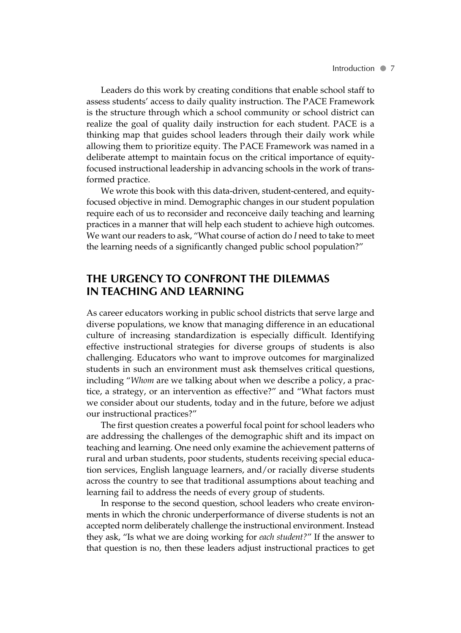Leaders do this work by creating conditions that enable school staff to assess students' access to daily quality instruction. The PACE Framework is the structure through which a school community or school district can realize the goal of quality daily instruction for each student. PACE is a thinking map that guides school leaders through their daily work while allowing them to prioritize equity. The PACE Framework was named in a deliberate attempt to maintain focus on the critical importance of equityfocused instructional leadership in advancing schools in the work of transformed practice.

 We wrote this book with this data-driven, student-centered, and equityfocused objective in mind. Demographic changes in our student population require each of us to reconsider and reconceive daily teaching and learning practices in a manner that will help each student to achieve high outcomes. We want our readers to ask, "What course of action do *I* need to take to meet the learning needs of a significantly changed public school population?"

### **THE URGENCY TO CONFRONT THE DILEMMAS IN TEACHING AND LEARNING**

 As career educators working in public school districts that serve large and diverse populations, we know that managing difference in an educational culture of increasing standardization is especially difficult. Identifying effective instructional strategies for diverse groups of students is also challenging. Educators who want to improve outcomes for marginalized students in such an environment must ask themselves critical questions, including " *Whom* are we talking about when we describe a policy, a practice, a strategy, or an intervention as effective?" and "What factors must we consider about our students, today and in the future, before we adjust our instructional practices?"

 The first question creates a powerful focal point for school leaders who are addressing the challenges of the demographic shift and its impact on teaching and learning. One need only examine the achievement patterns of rural and urban students, poor students, students receiving special education services, English language learners, and/or racially diverse students across the country to see that traditional assumptions about teaching and learning fail to address the needs of every group of students.

 In response to the second question, school leaders who create environments in which the chronic underperformance of diverse students is not an accepted norm deliberately challenge the instructional environment. Instead they ask, "Is what we are doing working for *each student?* " If the answer to that question is no, then these leaders adjust instructional practices to get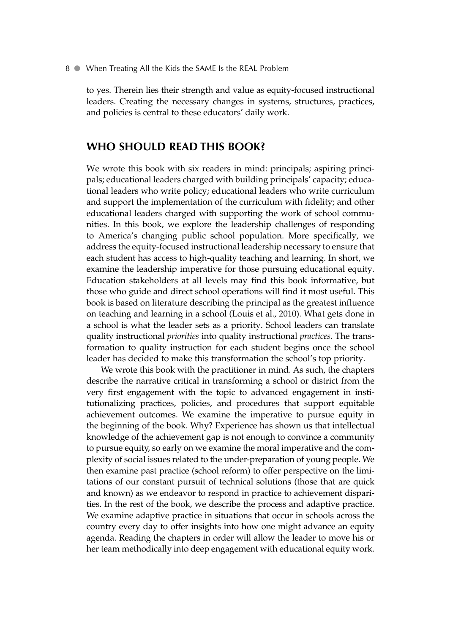to yes. Therein lies their strength and value as equity-focused instructional leaders. Creating the necessary changes in systems, structures, practices, and policies is central to these educators' daily work.

#### **WHO SHOULD READ THIS BOOK?**

 We wrote this book with six readers in mind: principals; aspiring principals; educational leaders charged with building principals' capacity; educational leaders who write policy; educational leaders who write curriculum and support the implementation of the curriculum with fidelity; and other educational leaders charged with supporting the work of school communities. In this book, we explore the leadership challenges of responding to America's changing public school population. More specifically, we address the equity-focused instructional leadership necessary to ensure that each student has access to high-quality teaching and learning. In short, we examine the leadership imperative for those pursuing educational equity. Education stakeholders at all levels may find this book informative, but those who guide and direct school operations will find it most useful. This book is based on literature describing the principal as the greatest influence on teaching and learning in a school (Louis et al., 2010). What gets done in a school is what the leader sets as a priority. School leaders can translate quality instructional *priorities* into quality instructional *practices.* The transformation to quality instruction for each student begins once the school leader has decided to make this transformation the school's top priority.

 We wrote this book with the practitioner in mind. As such, the chapters describe the narrative critical in transforming a school or district from the very first engagement with the topic to advanced engagement in institutionalizing practices, policies, and procedures that support equitable achievement outcomes. We examine the imperative to pursue equity in the beginning of the book. Why? Experience has shown us that intellectual knowledge of the achievement gap is not enough to convince a community to pursue equity, so early on we examine the moral imperative and the complexity of social issues related to the under-preparation of young people. We then examine past practice (school reform) to offer perspective on the limitations of our constant pursuit of technical solutions (those that are quick and known) as we endeavor to respond in practice to achievement disparities. In the rest of the book, we describe the process and adaptive practice. We examine adaptive practice in situations that occur in schools across the country every day to offer insights into how one might advance an equity agenda. Reading the chapters in order will allow the leader to move his or her team methodically into deep engagement with educational equity work.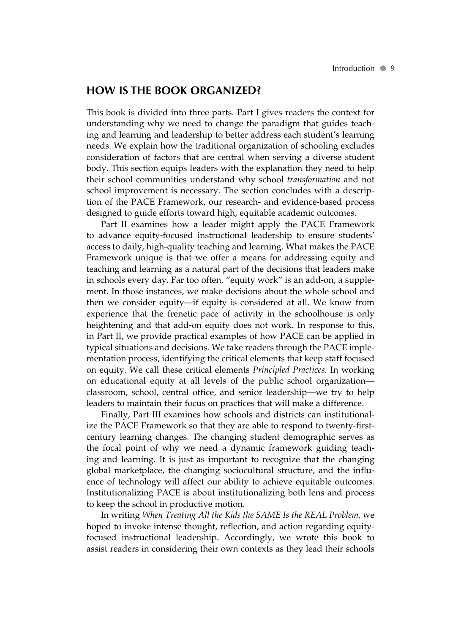#### **HOW IS THE BOOK ORGANIZED?**

 This book is divided into three parts. Part I gives readers the context for understanding why we need to change the paradigm that guides teaching and learning and leadership to better address each student's learning needs. We explain how the traditional organization of schooling excludes consideration of factors that are central when serving a diverse student body. This section equips leaders with the explanation they need to help their school communities understand why school *transformation* and not school improvement is necessary. The section concludes with a description of the PACE Framework, our research- and evidence-based process designed to guide efforts toward high, equitable academic outcomes.

 Part II examines how a leader might apply the PACE Framework to advance equity-focused instructional leadership to ensure students' access to daily, high-quality teaching and learning. What makes the PACE Framework unique is that we offer a means for addressing equity and teaching and learning as a natural part of the decisions that leaders make in schools every day. Far too often, "equity work" is an add-on, a supplement. In those instances, we make decisions about the whole school and then we consider equity—if equity is considered at all. We know from experience that the frenetic pace of activity in the schoolhouse is only heightening and that add-on equity does not work. In response to this, in Part II, we provide practical examples of how PACE can be applied in typical situations and decisions. We take readers through the PACE implementation process, identifying the critical elements that keep staff focused on equity. We call these critical elements *Principled Practices.* In working on educational equity at all levels of the public school organization classroom, school, central office, and senior leadership—we try to help leaders to maintain their focus on practices that will make a difference.

 Finally, Part III examines how schools and districts can institutionalize the PACE Framework so that they are able to respond to twenty-firstcentury learning changes. The changing student demographic serves as the focal point of why we need a dynamic framework guiding teaching and learning. It is just as important to recognize that the changing global marketplace, the changing sociocultural structure, and the influence of technology will affect our ability to achieve equitable outcomes. Institutionalizing PACE is about institutionalizing both lens and process to keep the school in productive motion.

 In writing *When Treating All the Kids the SAME Is the REAL Problem,* we hoped to invoke intense thought, reflection, and action regarding equityfocused instructional leadership. Accordingly, we wrote this book to assist readers in considering their own contexts as they lead their schools